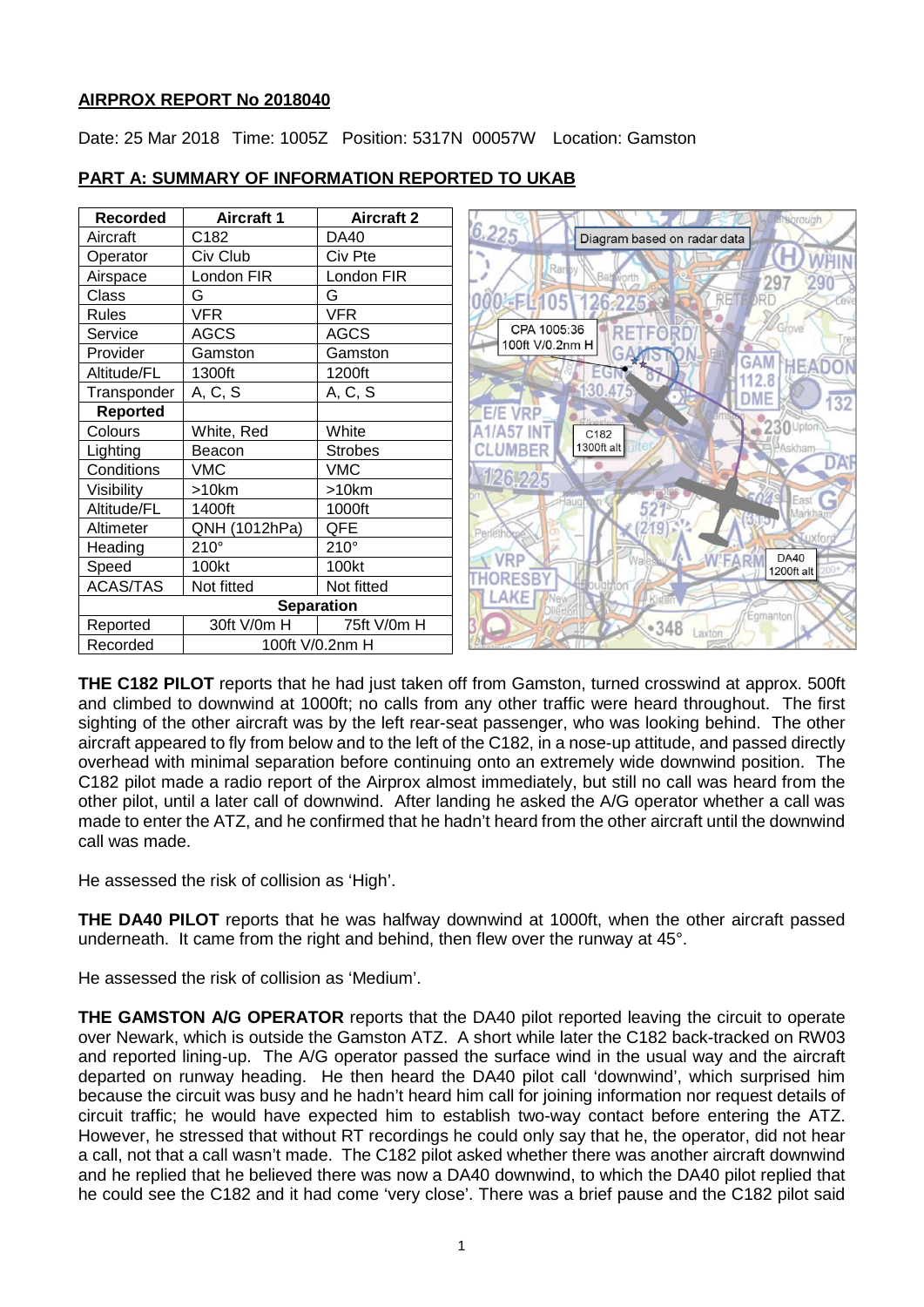# **AIRPROX REPORT No 2018040**

Date: 25 Mar 2018 Time: 1005Z Position: 5317N 00057W Location: Gamston

| <b>Recorded</b>             | <b>Aircraft 1</b> | <b>Aircraft 2</b> | rough                                             |
|-----------------------------|-------------------|-------------------|---------------------------------------------------|
| Aircraft                    | C182              | DA40              | 6.225<br>Diagram based on radar data              |
| Operator                    | Civ Club          | Civ Pte           |                                                   |
| Airspace                    | London FIR        | London FIR        | Rary<br><b>Bab</b> worth<br>297                   |
| Class                       | G                 | G                 | 000 FL105<br>126-225<br>DRD<br>ETA                |
| <b>Rules</b>                | <b>VFR</b>        | <b>VFR</b>        |                                                   |
| Service                     | <b>AGCS</b>       | <b>AGCS</b>       | CPA 1005:36<br>Grove<br>RETFOR<br>100ft V/0.2nm H |
| Provider                    | Gamston           | Gamston           | GAAT<br><b>GAM</b>                                |
| Altitude/FL                 | 1300ft            | 1200ft            | HEAT                                              |
| Transponder                 | A, C, S           | A, C, S           | ·30.<br>475<br>DME<br>132                         |
| <b>Reported</b>             |                   |                   | <b>E/E VRP</b>                                    |
| Colours                     | White, Red        | White             | 230 Upto<br>C182                                  |
| Lighting                    | Beacon            | <b>Strobes</b>    | 1300ft alt<br>UMBER                               |
| Conditions                  | <b>VMC</b>        | <b>VMC</b>        | DAF<br>126,225                                    |
| Visibility                  | >10km             | >10km             | East                                              |
| Altitude/FL                 | 1400ft            | 1000ft            |                                                   |
| Altimeter                   | QNH (1012hPa)     | QFE               | 19                                                |
| Heading                     | $210^\circ$       | $210^\circ$       | <b>DA40</b>                                       |
| Speed                       | 100kt             | 100kt             | <b>VRP</b><br>1200ft alt                          |
| <b>ACAS/TAS</b>             | Not fitted        | Not fitted        |                                                   |
| <b>Separation</b>           |                   |                   | AKE<br>Egmanton                                   |
| Reported                    | 30ft V/0m H       | 75ft V/0m H       | •348<br>Laxton                                    |
| 100ft V/0.2nm H<br>Recorded |                   |                   |                                                   |

# **PART A: SUMMARY OF INFORMATION REPORTED TO UKAB**

**THE C182 PILOT** reports that he had just taken off from Gamston, turned crosswind at approx. 500ft and climbed to downwind at 1000ft; no calls from any other traffic were heard throughout. The first sighting of the other aircraft was by the left rear-seat passenger, who was looking behind. The other aircraft appeared to fly from below and to the left of the C182, in a nose-up attitude, and passed directly overhead with minimal separation before continuing onto an extremely wide downwind position. The C182 pilot made a radio report of the Airprox almost immediately, but still no call was heard from the other pilot, until a later call of downwind. After landing he asked the A/G operator whether a call was made to enter the ATZ, and he confirmed that he hadn't heard from the other aircraft until the downwind call was made.

He assessed the risk of collision as 'High'.

**THE DA40 PILOT** reports that he was halfway downwind at 1000ft, when the other aircraft passed underneath. It came from the right and behind, then flew over the runway at 45°.

He assessed the risk of collision as 'Medium'.

**THE GAMSTON A/G OPERATOR** reports that the DA40 pilot reported leaving the circuit to operate over Newark, which is outside the Gamston ATZ. A short while later the C182 back-tracked on RW03 and reported lining-up. The A/G operator passed the surface wind in the usual way and the aircraft departed on runway heading. He then heard the DA40 pilot call 'downwind', which surprised him because the circuit was busy and he hadn't heard him call for joining information nor request details of circuit traffic; he would have expected him to establish two-way contact before entering the ATZ. However, he stressed that without RT recordings he could only say that he, the operator, did not hear a call, not that a call wasn't made. The C182 pilot asked whether there was another aircraft downwind and he replied that he believed there was now a DA40 downwind, to which the DA40 pilot replied that he could see the C182 and it had come 'very close'. There was a brief pause and the C182 pilot said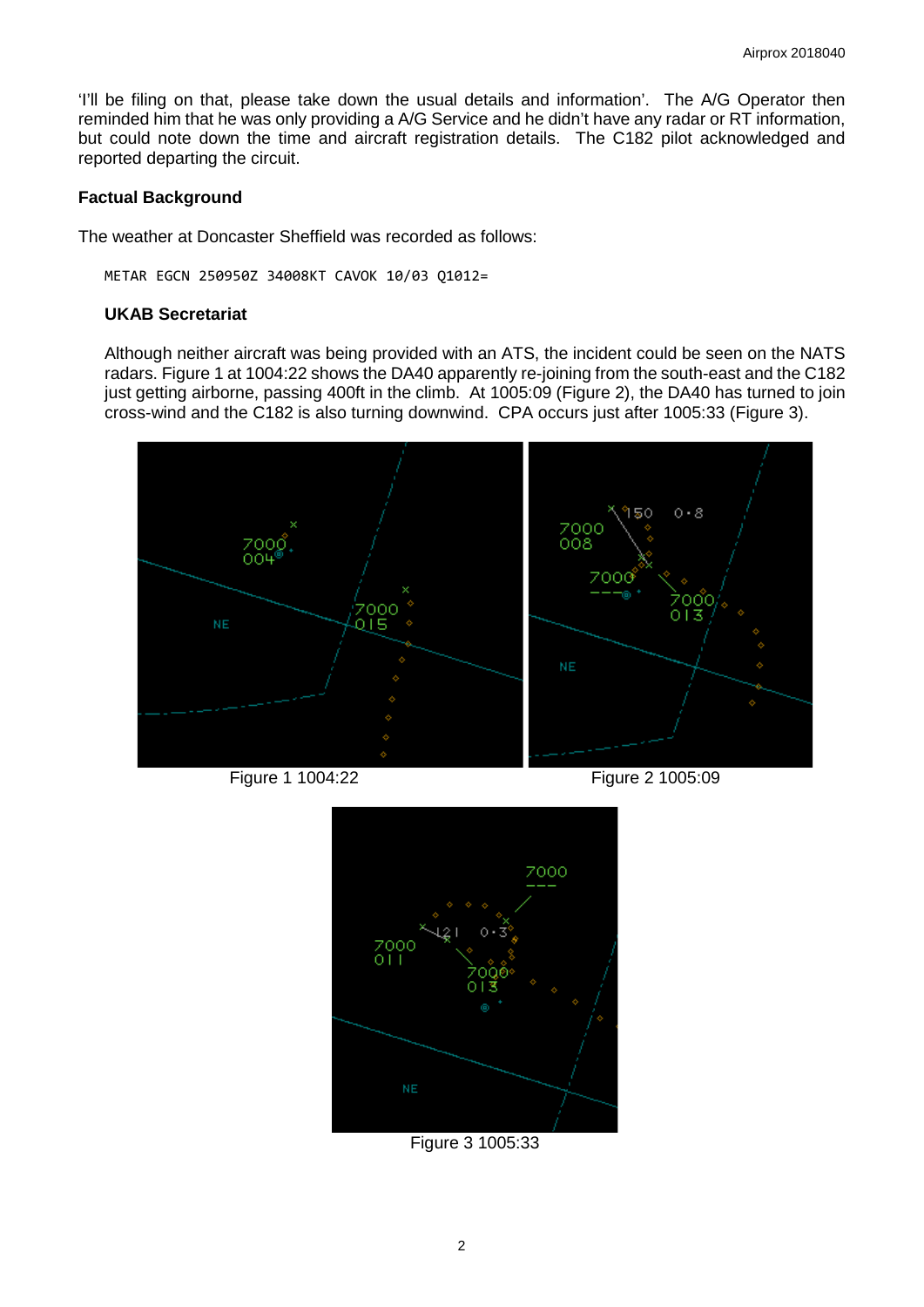'I'll be filing on that, please take down the usual details and information'. The A/G Operator then reminded him that he was only providing a A/G Service and he didn't have any radar or RT information, but could note down the time and aircraft registration details. The C182 pilot acknowledged and reported departing the circuit.

# **Factual Background**

The weather at Doncaster Sheffield was recorded as follows:

METAR EGCN 250950Z 34008KT CAVOK 10/03 Q1012=

#### **UKAB Secretariat**

Although neither aircraft was being provided with an ATS, the incident could be seen on the NATS radars. Figure 1 at 1004:22 shows the DA40 apparently re-joining from the south-east and the C182 just getting airborne, passing 400ft in the climb. At 1005:09 (Figure 2), the DA40 has turned to join cross-wind and the C182 is also turning downwind. CPA occurs just after 1005:33 (Figure 3).



Figure 1 1004:22 Figure 2 1005:09



Figure 3 1005:33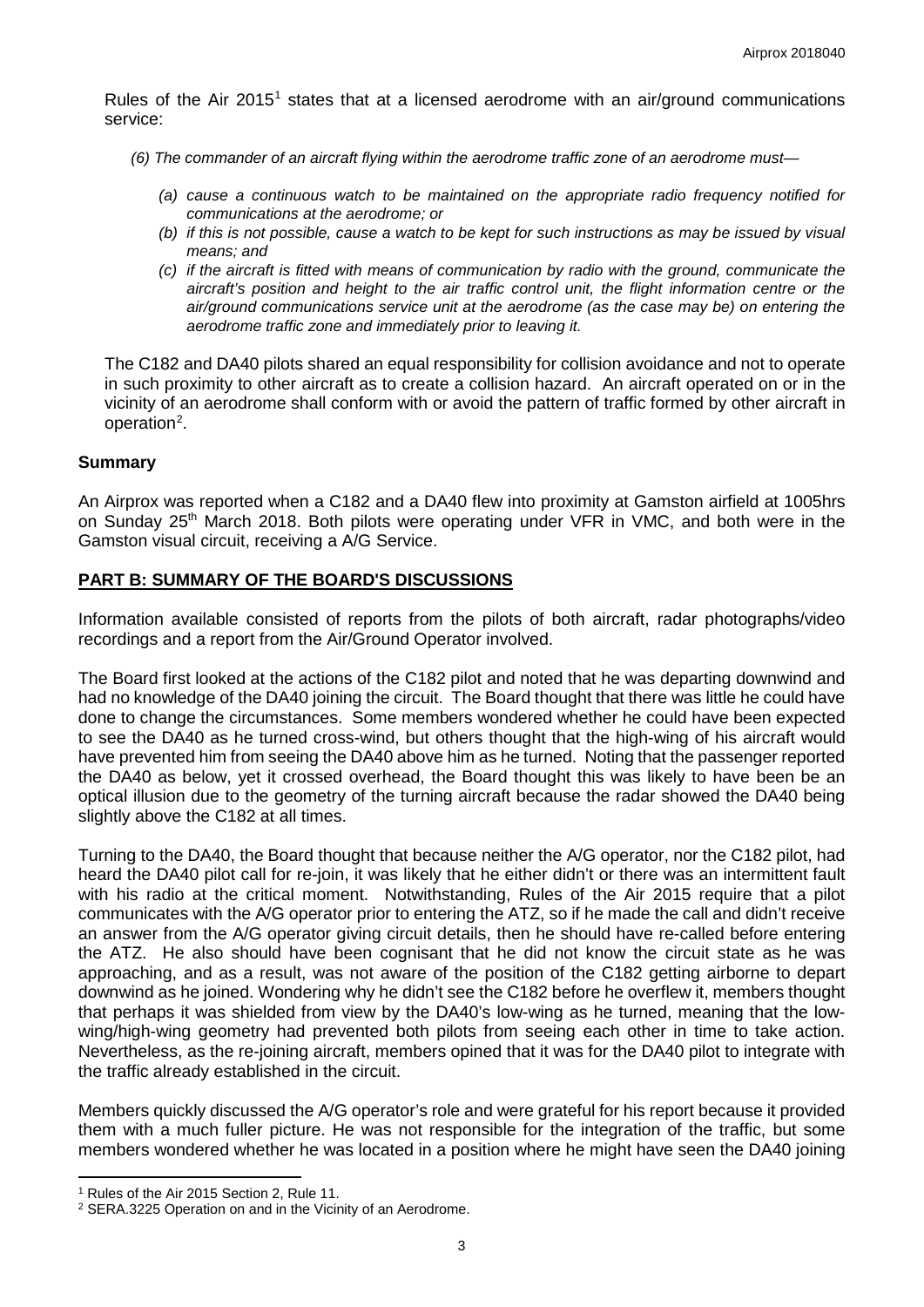Rules of the Air 20[1](#page-2-0)5<sup>1</sup> states that at a licensed aerodrome with an air/ground communications service:

- *(6) The commander of an aircraft flying within the aerodrome traffic zone of an aerodrome must—*
	- *(a) cause a continuous watch to be maintained on the appropriate radio frequency notified for communications at the aerodrome; or*
	- *(b) if this is not possible, cause a watch to be kept for such instructions as may be issued by visual means; and*
	- *(c) if the aircraft is fitted with means of communication by radio with the ground, communicate the aircraft's position and height to the air traffic control unit, the flight information centre or the air/ground communications service unit at the aerodrome (as the case may be) on entering the aerodrome traffic zone and immediately prior to leaving it.*

The C182 and DA40 pilots shared an equal responsibility for collision avoidance and not to operate in such proximity to other aircraft as to create a collision hazard. An aircraft operated on or in the vicinity of an aerodrome shall conform with or avoid the pattern of traffic formed by other aircraft in operation<sup>[2](#page-2-1)</sup>.

### **Summary**

An Airprox was reported when a C182 and a DA40 flew into proximity at Gamston airfield at 1005hrs on Sunday 25th March 2018. Both pilots were operating under VFR in VMC, and both were in the Gamston visual circuit, receiving a A/G Service.

### **PART B: SUMMARY OF THE BOARD'S DISCUSSIONS**

Information available consisted of reports from the pilots of both aircraft, radar photographs/video recordings and a report from the Air/Ground Operator involved.

The Board first looked at the actions of the C182 pilot and noted that he was departing downwind and had no knowledge of the DA40 joining the circuit. The Board thought that there was little he could have done to change the circumstances. Some members wondered whether he could have been expected to see the DA40 as he turned cross-wind, but others thought that the high-wing of his aircraft would have prevented him from seeing the DA40 above him as he turned. Noting that the passenger reported the DA40 as below, yet it crossed overhead, the Board thought this was likely to have been be an optical illusion due to the geometry of the turning aircraft because the radar showed the DA40 being slightly above the C182 at all times.

Turning to the DA40, the Board thought that because neither the A/G operator, nor the C182 pilot, had heard the DA40 pilot call for re-join, it was likely that he either didn't or there was an intermittent fault with his radio at the critical moment. Notwithstanding, Rules of the Air 2015 require that a pilot communicates with the A/G operator prior to entering the ATZ, so if he made the call and didn't receive an answer from the A/G operator giving circuit details, then he should have re-called before entering the ATZ. He also should have been cognisant that he did not know the circuit state as he was approaching, and as a result, was not aware of the position of the C182 getting airborne to depart downwind as he joined. Wondering why he didn't see the C182 before he overflew it, members thought that perhaps it was shielded from view by the DA40's low-wing as he turned, meaning that the lowwing/high-wing geometry had prevented both pilots from seeing each other in time to take action. Nevertheless, as the re-joining aircraft, members opined that it was for the DA40 pilot to integrate with the traffic already established in the circuit.

Members quickly discussed the A/G operator's role and were grateful for his report because it provided them with a much fuller picture. He was not responsible for the integration of the traffic, but some members wondered whether he was located in a position where he might have seen the DA40 joining

l

<span id="page-2-0"></span><sup>&</sup>lt;sup>1</sup> Rules of the Air 2015 Section 2, Rule 11.

<span id="page-2-1"></span><sup>2</sup> SERA.3225 Operation on and in the Vicinity of an Aerodrome.